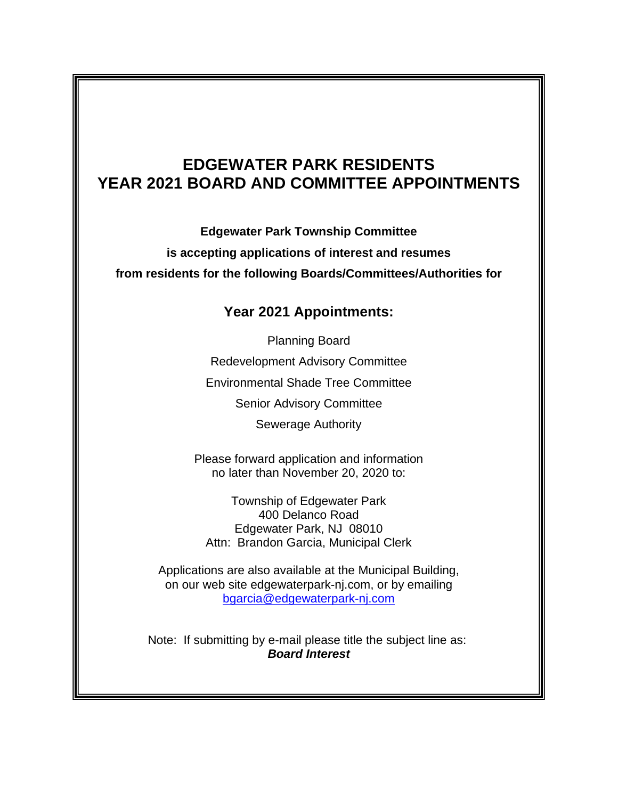## **EDGEWATER PARK RESIDENTS YEAR 2021 BOARD AND COMMITTEE APPOINTMENTS**

**Edgewater Park Township Committee** 

**is accepting applications of interest and resumes**

**from residents for the following Boards/Committees/Authorities for**

## **Year 2021 Appointments:**

Planning Board Redevelopment Advisory Committee Environmental Shade Tree Committee Senior Advisory Committee Sewerage Authority

Please forward application and information no later than November 20, 2020 to:

Township of Edgewater Park 400 Delanco Road Edgewater Park, NJ 08010 Attn: Brandon Garcia, Municipal Clerk

Applications are also available at the Municipal Building, on our web site edgewaterpark-nj.com, or by emailing [bgarcia@edgewaterpark-nj.com](mailto:bgarcia@edgewaterpark-nj.com)

Note: If submitting by e-mail please title the subject line as: *Board Interest*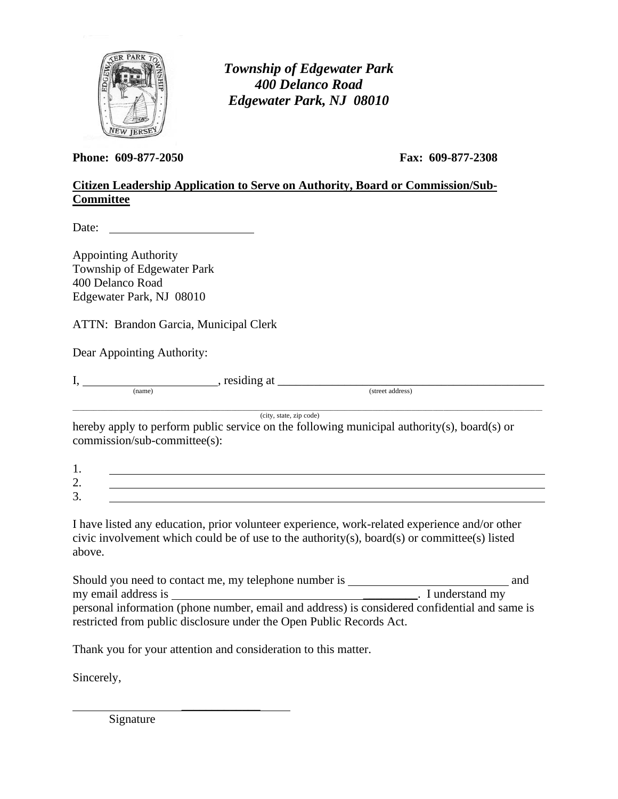

*Township of Edgewater Park 400 Delanco Road Edgewater Park, NJ 08010*

**Phone: 609-877-2050 Fax: 609-877-2308**

## **Citizen Leadership Application to Serve on Authority, Board or Commission/Sub-Committee**

Date:

Appointing Authority Township of Edgewater Park 400 Delanco Road Edgewater Park, NJ 08010

ATTN: Brandon Garcia, Municipal Clerk

Dear Appointing Authority:

 $I, \_\_\_\_\_ (name)$ , residing at  $\_\_\_\_\_ (street\)$  (street address)

\_\_\_\_\_\_\_\_\_\_\_\_\_\_\_\_\_\_\_\_\_\_\_\_\_\_\_\_\_\_\_\_\_\_\_\_\_\_\_\_\_\_\_\_\_\_\_\_\_\_\_\_\_\_\_\_\_\_\_\_\_\_\_\_\_\_\_\_\_\_\_\_\_\_\_\_\_\_\_\_\_\_\_\_\_\_\_\_\_\_\_\_\_\_\_\_\_\_\_\_\_\_\_\_\_\_\_\_\_\_\_\_\_\_\_\_\_\_\_\_\_\_\_\_\_\_\_\_\_\_\_\_\_ (city, state, zip code)

hereby apply to perform public service on the following municipal authority(s), board(s) or commission/sub-committee(s):

| <u>.</u> |  |
|----------|--|
| ັ        |  |

I have listed any education, prior volunteer experience, work-related experience and/or other civic involvement which could be of use to the authority(s), board(s) or committee(s) listed above.

Should you need to contact me, my telephone number is and my email address is \_\_\_\_\_\_\_\_\_. I understand my personal information (phone number, email and address) is considered confidential and same is restricted from public disclosure under the Open Public Records Act.

Thank you for your attention and consideration to this matter.

 $\frac{1}{2}$ 

Sincerely,

Signature